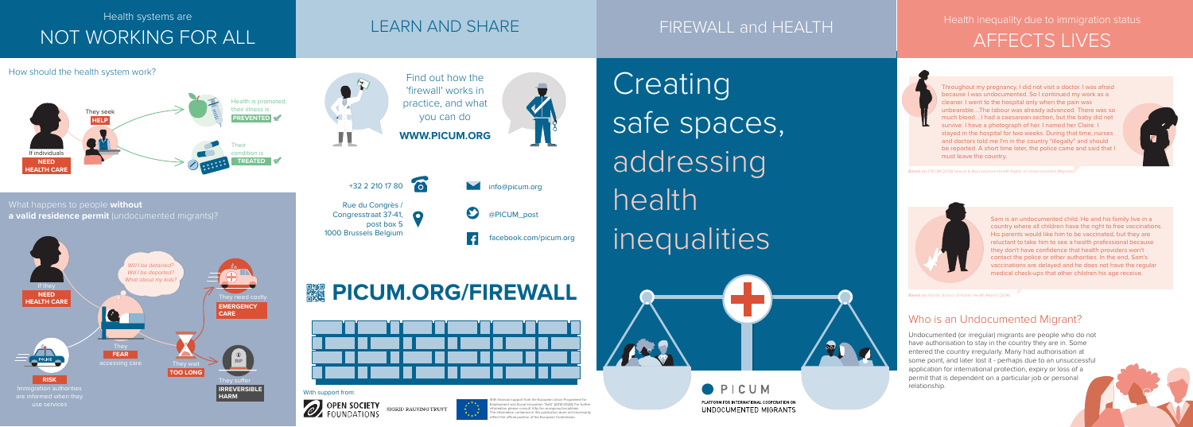Throughout my pregnancy, I did not visit a doctor. I was afraid because I was undocumented. So I continued my work as a cleaner. I went to the hospital only when the pain was unbearable....The labour was already advanced. There was so much blood....I had a caesarean section, but the baby did not survive. I have a photograph of her. I named her Claire. I stayed in the hospital for two weeks. During that time, nurses and doctors told me I'm in the country "illegally" and should be reported. A short time later, the police came and said that I must leave the country.

> Sam is an undocumented child. He and his family live in a country where all children have the right to free vaccinations. His parents would like him to be vaccinated, but they are reluctant to take him to see a health professional because they don't have confidence that health providers won't contact the police or other authorities. In the end, Sam's vaccinations are delayed and he does not have the regular medical check-ups that other children his age receive.



### LEARN AND SHARE FIREWALL and HEALTH

Based on: PICUM (2016) Sexual & Reproductive Health Rights of Undocumented Migrants



Based on: Nordic School of Public Health Report (2014)

### Who is an Undocumented Migrant?

Undocumented (or irregular) migrants are people who do not have authorisation to stay in the country they are in. Some entered the country irregularly. Many had authorisation at some point, and later lost it - perhaps due to an unsuccessful application for international protection, expiry or loss of a permit that is dependent on a particular job or personal relationship.

Health inequality due to immigration status AFFECTS LIVES

Health systems are

# NOT WORKING FOR ALL

Creating safe spaces, addressing health<sup>1</sup> inequalities



**OPICUM** PLATFORM FOR INTERNATIONAL COOPERATION ON UNDOCUMENTED MIGRANTS